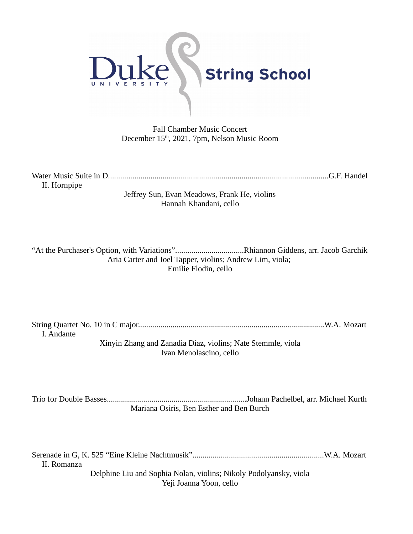

Fall Chamber Music Concert December 15<sup>th</sup>, 2021, 7pm, Nelson Music Room

Water Music Suite in D.............................................................................................................G.F. Handel II. Hornpipe

> Jeffrey Sun, Evan Meadows, Frank He, violins Hannah Khandani, cello

"At the Purchaser's Option, with Variations"..................................Rhiannon Giddens, arr. Jacob Garchik Aria Carter and Joel Tapper, violins; Andrew Lim, viola; Emilie Flodin, cello

String Quartet No. 10 in C major............................................................................................W.A. Mozart I. Andante Xinyin Zhang and Zanadia Diaz, violins; Nate Stemmle, viola

Ivan Menolascino, cello

Trio for Double Basses.....................................................................Johann Pachelbel, arr. Michael Kurth Mariana Osiris, Ben Esther and Ben Burch

Serenade in G, K. 525 "Eine Kleine Nachtmusik".................................................................W.A. Mozart II. Romanza Delphine Liu and Sophia Nolan, violins; Nikoly Podolyansky, viola Yeji Joanna Yoon, cello